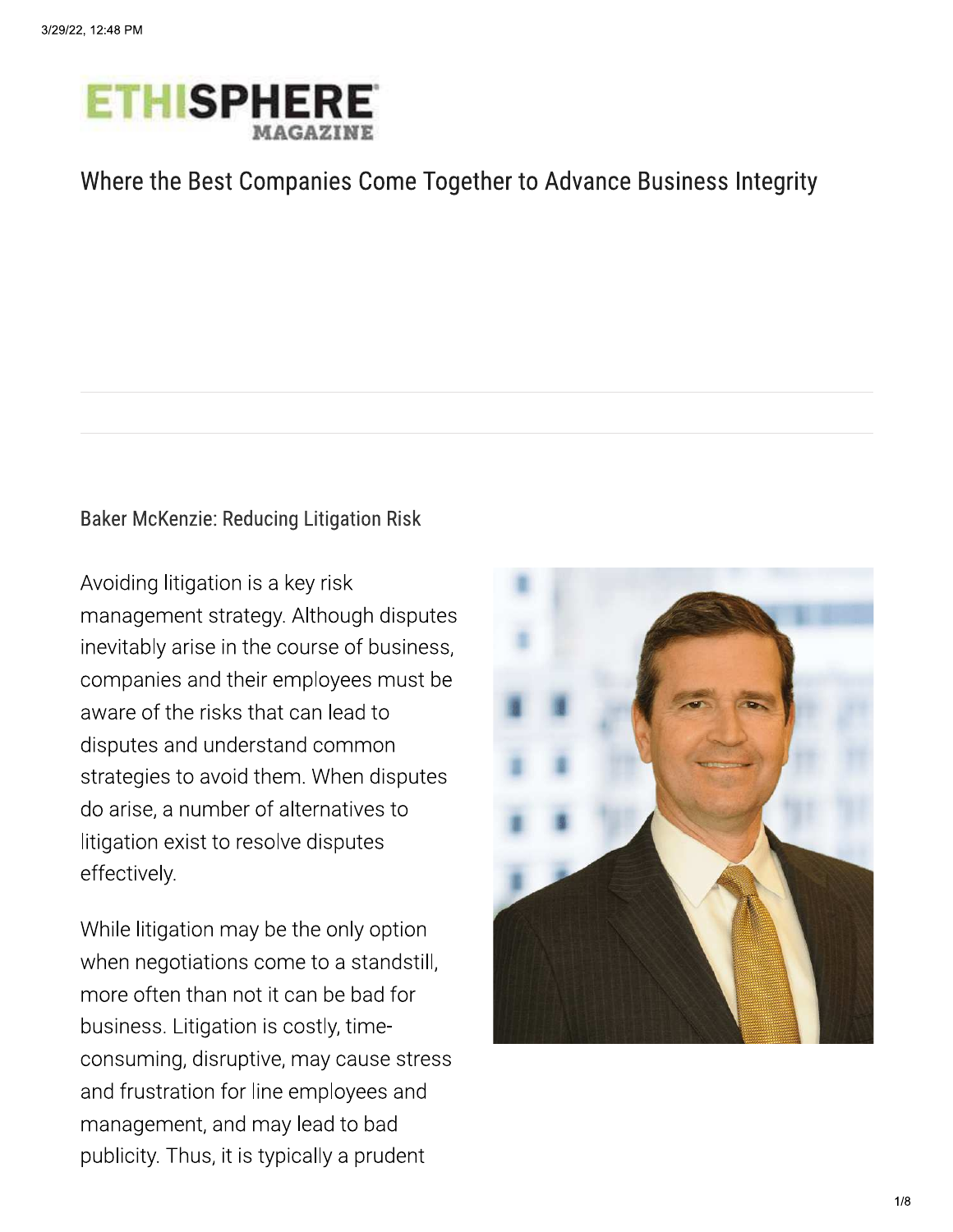

# Where the Best Companies Come Together to Advance Business Integrity

Baker McKenzie: Reducing Litigation Risk<br>
Avoiding litigation is a key risk<br>
management strategy. Although disputes<br>
inevitably arise in the course of business,<br>
companies and their employees must be<br>
aware of the risks th

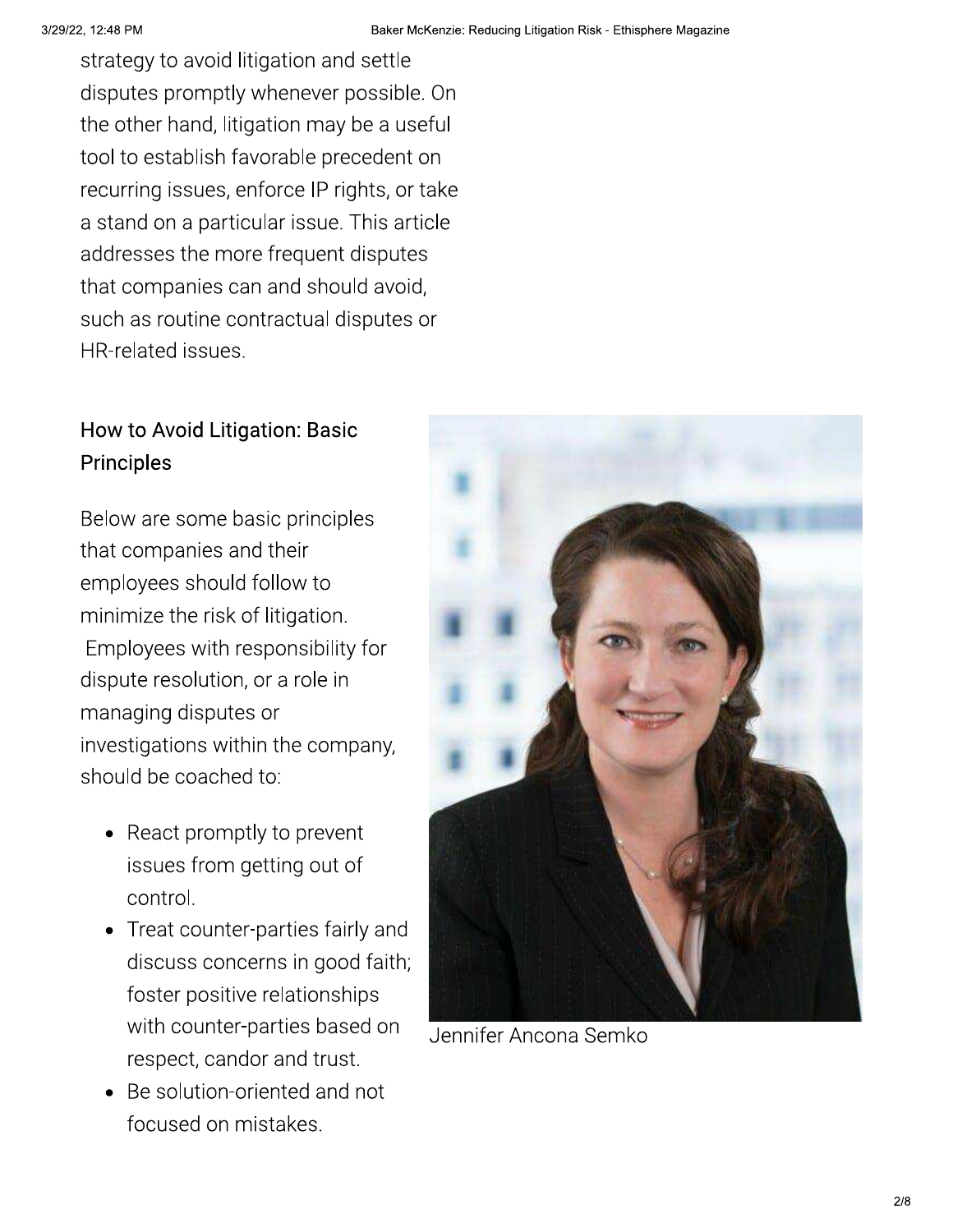strategy to avoid litigation and settle disputes promptly whenever possible. On the other hand, litigation may be a useful tool to establish favorable precedent on recurring issues, enforce IP rights, or take a stand on a particular issue. This article addresses the more frequent disputes that companies can and should avoid, such as routine contractual disputes or HR-related issues.

# How to Avoid Litigation: Basic **Principles**

Below are some basic principles that companies and their employees should follow to minimize the risk of litigation. Employees with responsibility for dispute resolution, or a role in managing disputes or investigations within the company, should be coached to:

- React promptly to prevent issues from getting out of control.
- Treat counter-parties fairly and discuss concerns in good faith; foster positive relationships with counter-parties based on respect, candor and trust.
- Be solution-oriented and not focused on mistakes.



Jennifer Ancona Semko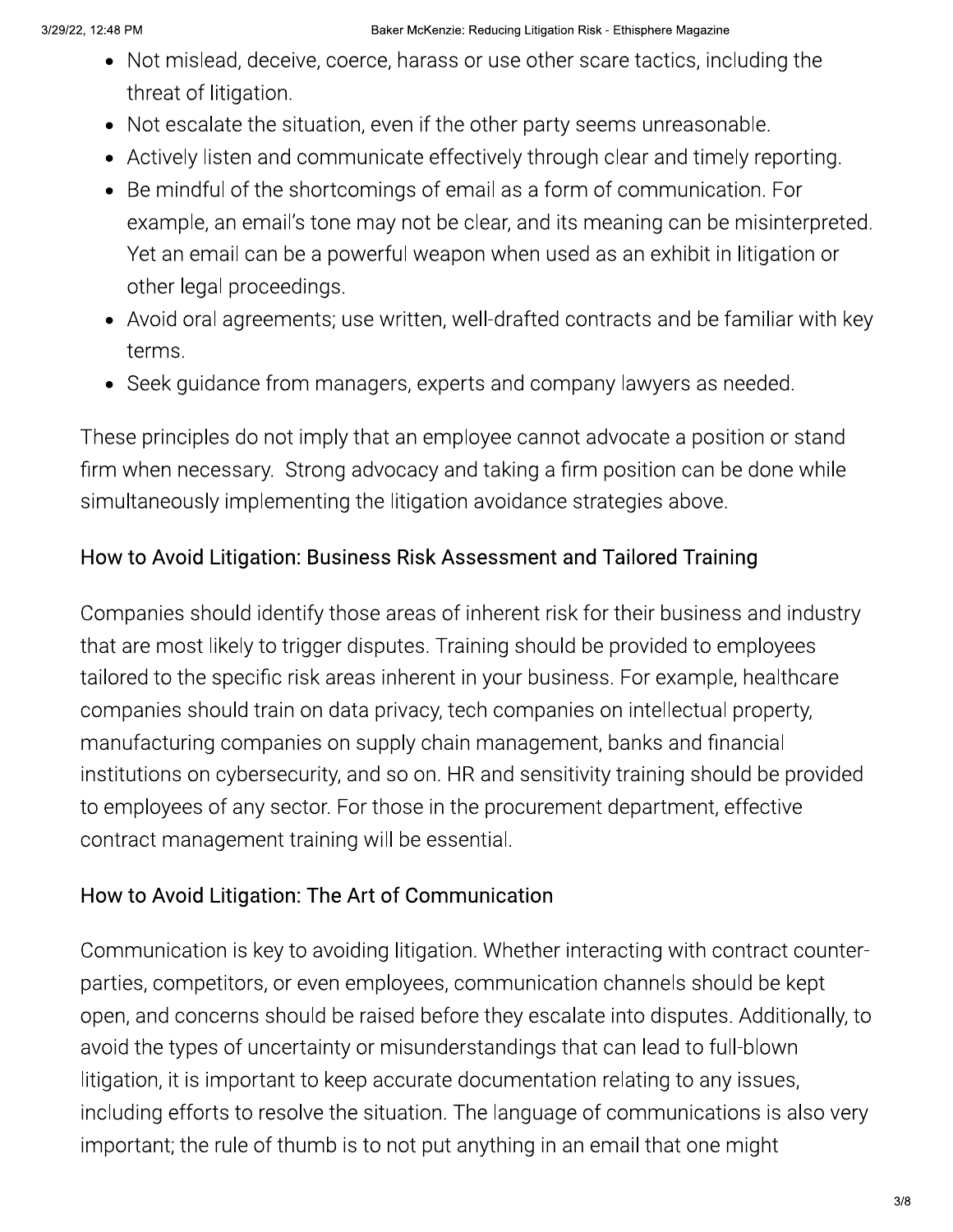- Not mislead, deceive, coerce, harass or use other scare tactics, including the threat of litigation.
- Not escalate the situation, even if the other party seems unreasonable.
- Actively listen and communicate effectively through clear and timely reporting.
- Be mindful of the shortcomings of email as a form of communication. For example, an email's tone may not be clear, and its meaning can be misinterpreted. Yet an email can be a powerful weapon when used as an exhibit in litigation or other legal proceedings.
- Avoid oral agreements; use written, well-drafted contracts and be familiar with key terms.
- Seek guidance from managers, experts and company lawyers as needed.

These principles do not imply that an employee cannot advocate a position or stand firm when necessary. Strong advocacy and taking a firm position can be done while simultaneously implementing the litigation avoidance strategies above.

# How to Avoid Litigation: Business Risk Assessment and Tailored Training

Companies should identify those areas of inherent risk for their business and industry that are most likely to trigger disputes. Training should be provided to employees tailored to the specific risk areas inherent in your business. For example, healthcare companies should train on data privacy, tech companies on intellectual property, manufacturing companies on supply chain management, banks and financial institutions on cybersecurity, and so on. HR and sensitivity training should be provided to employees of any sector. For those in the procurement department, effective contract management training will be essential.

# How to Avoid Litigation: The Art of Communication

Communication is key to avoiding litigation. Whether interacting with contract counterparties, competitors, or even employees, communication channels should be kept open, and concerns should be raised before they escalate into disputes. Additionally, to avoid the types of uncertainty or misunderstandings that can lead to full-blown litigation, it is important to keep accurate documentation relating to any issues, including efforts to resolve the situation. The language of communications is also very important; the rule of thumb is to not put anything in an email that one might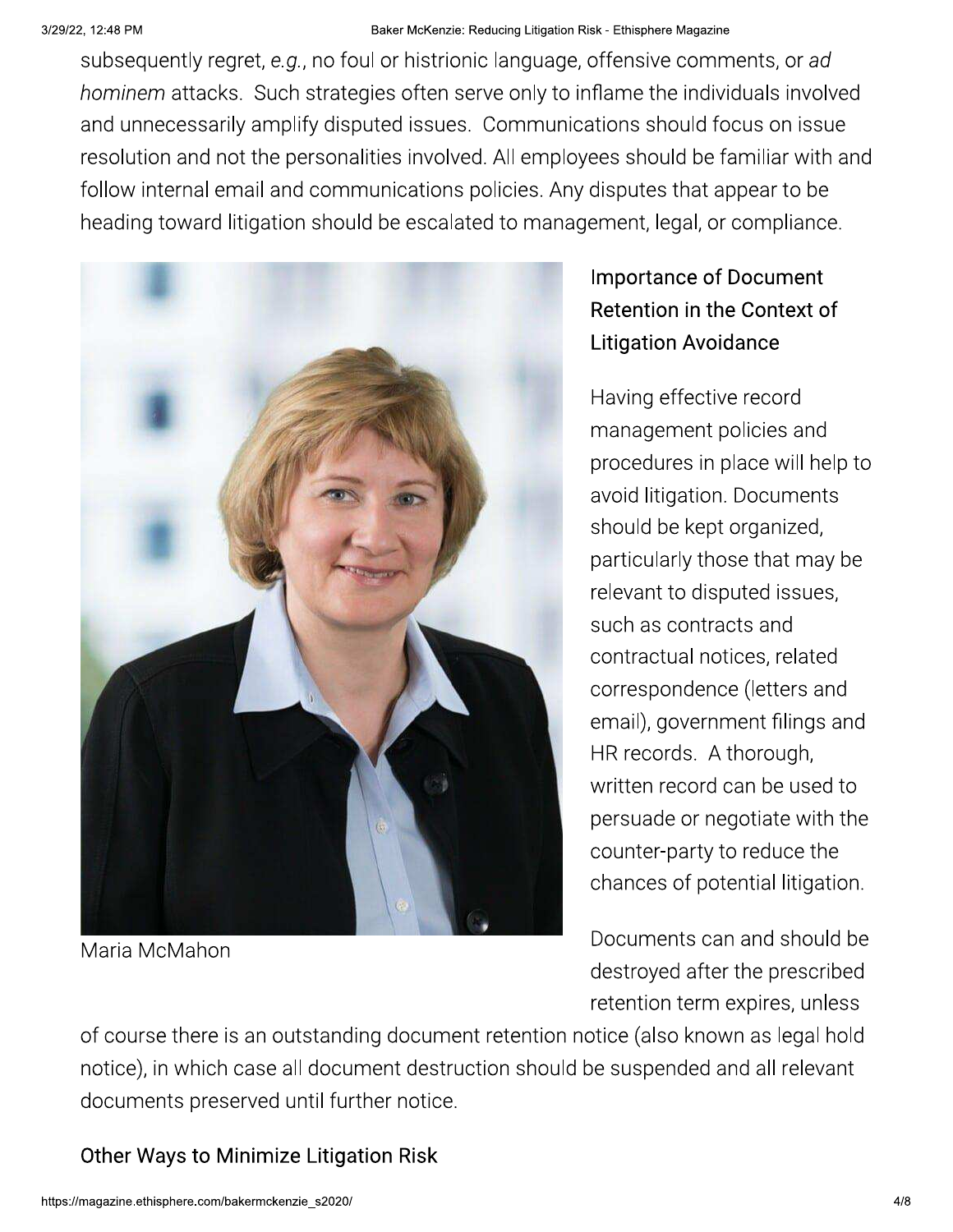### Baker McKenzie: Reducing Litigation Risk - Ethisphere Magazine

subsequently regret, e.g., no foul or histrionic language, offensive comments, or ad hominem attacks. Such strategies often serve only to inflame the individuals involved and unnecessarily amplify disputed issues. Communications should focus on issue resolution and not the personalities involved. All employees should be familiar with and follow internal email and communications policies. Any disputes that appear to be heading toward litigation should be escalated to management, legal, or compliance.



Maria McMahon

# **Importance of Document** Retention in the Context of **Litigation Avoidance**

Having effective record management policies and procedures in place will help to avoid litigation. Documents should be kept organized, particularly those that may be relevant to disputed issues, such as contracts and contractual notices, related correspondence (letters and email), government filings and HR records. A thorough, written record can be used to persuade or negotiate with the counter-party to reduce the chances of potential litigation.

Documents can and should be destroyed after the prescribed retention term expires, unless

of course there is an outstanding document retention notice (also known as legal hold notice), in which case all document destruction should be suspended and all relevant documents preserved until further notice.

## **Other Ways to Minimize Litigation Risk**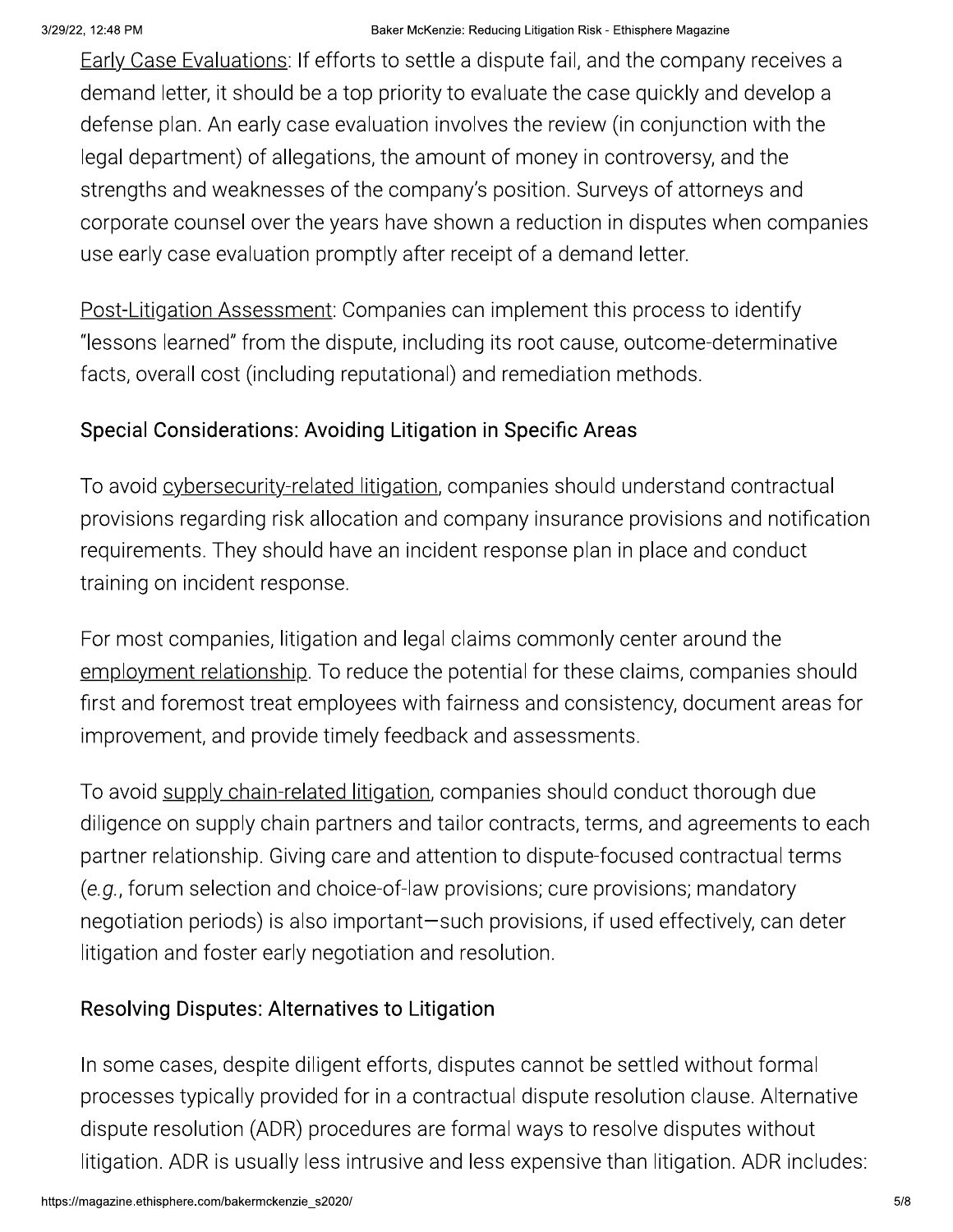Early Case Evaluations: If efforts to settle a dispute fail, and the company receives a demand letter, it should be a top priority to evaluate the case quickly and develop a defense plan. An early case evaluation involves the review (in conjunction with the legal department) of allegations, the amount of money in controversy, and the strengths and weaknesses of the company's position. Surveys of attorneys and corporate counsel over the years have shown a reduction in disputes when companies use early case evaluation promptly after receipt of a demand letter.

Post-Litigation Assessment: Companies can implement this process to identify "lessons learned" from the dispute, including its root cause, outcome-determinative facts, overall cost (including reputational) and remediation methods.

# Special Considerations: Avoiding Litigation in Specific Areas

To avoid cybersecurity-related litigation, companies should understand contractual provisions regarding risk allocation and company insurance provisions and notification requirements. They should have an incident response plan in place and conduct training on incident response.

For most companies, litigation and legal claims commonly center around the employment relationship. To reduce the potential for these claims, companies should first and foremost treat employees with fairness and consistency, document areas for improvement, and provide timely feedback and assessments.

To avoid supply chain-related litigation, companies should conduct thorough due diligence on supply chain partners and tailor contracts, terms, and agreements to each partner relationship. Giving care and attention to dispute-focused contractual terms (e.g., forum selection and choice-of-law provisions; cure provisions; mandatory negotiation periods) is also important-such provisions, if used effectively, can deter litigation and foster early negotiation and resolution.

# **Resolving Disputes: Alternatives to Litigation**

In some cases, despite diligent efforts, disputes cannot be settled without formal processes typically provided for in a contractual dispute resolution clause. Alternative dispute resolution (ADR) procedures are formal ways to resolve disputes without litigation. ADR is usually less intrusive and less expensive than litigation. ADR includes: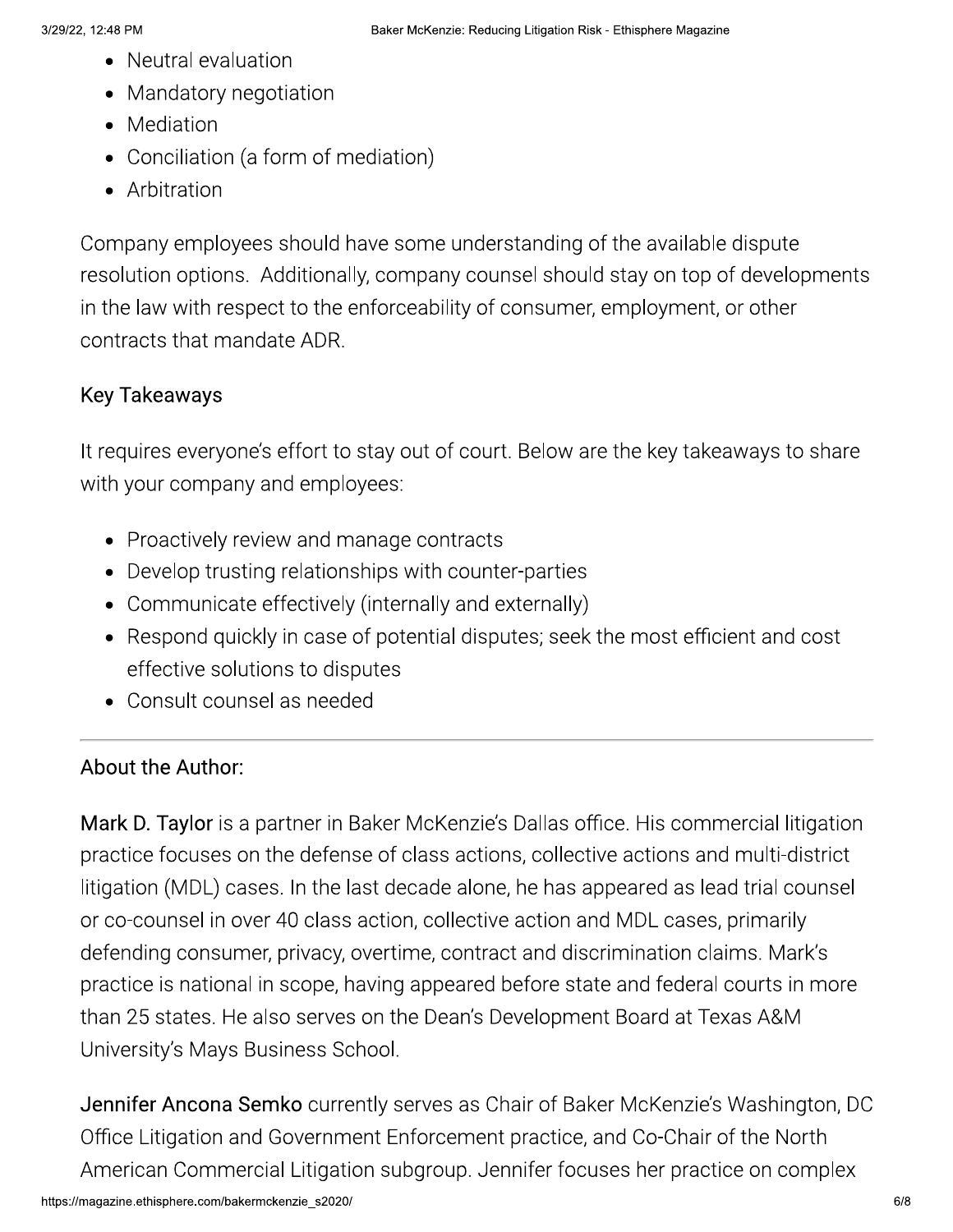- Neutral evaluation
- Mandatory negotiation
- Mediation
- Conciliation (a form of mediation)
- Arbitration

Company employees should have some understanding of the available dispute resolution options. Additionally, company counsel should stay on top of developments in the law with respect to the enforceability of consumer, employment, or other contracts that mandate ADR.

# **Key Takeaways**

It requires everyone's effort to stay out of court. Below are the key takeaways to share with your company and employees:

- Proactively review and manage contracts
- Develop trusting relationships with counter-parties
- Communicate effectively (internally and externally)
- Respond quickly in case of potential disputes; seek the most efficient and cost effective solutions to disputes
- Consult counsel as needed

# About the Author:

Mark D. Taylor is a partner in Baker McKenzie's Dallas office. His commercial litigation practice focuses on the defense of class actions, collective actions and multi-district litigation (MDL) cases. In the last decade alone, he has appeared as lead trial counsel or co-counsel in over 40 class action, collective action and MDL cases, primarily defending consumer, privacy, overtime, contract and discrimination claims. Mark's practice is national in scope, having appeared before state and federal courts in more than 25 states. He also serves on the Dean's Development Board at Texas A&M University's Mays Business School.

Jennifer Ancona Semko currently serves as Chair of Baker McKenzie's Washington, DC Office Litigation and Government Enforcement practice, and Co-Chair of the North American Commercial Litigation subgroup. Jennifer focuses her practice on complex